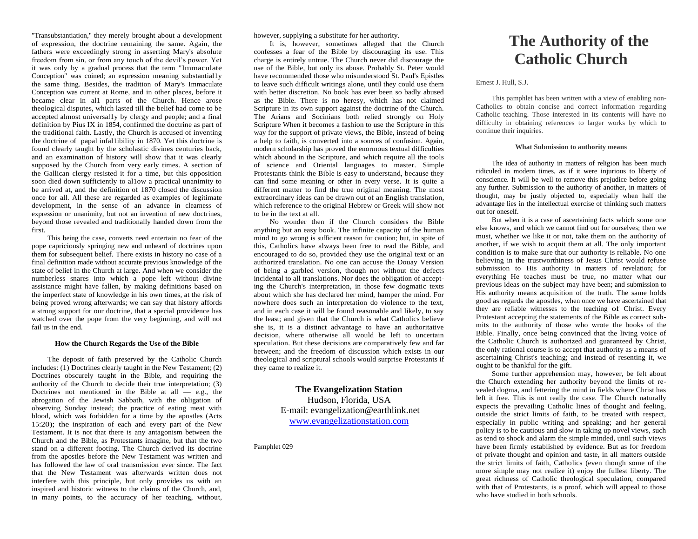"Transubstantiation," they merely brought about a development of expression, the doctrine remaining the same. Again, the fathers were exceedingly strong in asserting Mary's absolute freedom from sin, or from any touch of the devil's power. Yet it was only by a gradual process that the term "Immaculate Conception" was coined; an expression meaning substantial1y the same thing. Besides, the tradition of Mary's Immaculate Conception was current at Rome, and in other places, before it became clear in al1 parts of the Church. Hence arose theological disputes, which lasted till the belief had come to be accepted almost universal1y by clergy and people; and a final definition by Pius IX in 1854, confirmed the doctrine as part of the traditional faith. Lastly, the Church is accused of inventing the doctrine of papal infal1ibility in 1870. Yet this doctrine is found clearly taught by the scholastic divines centuries back, and an examination of history will show that it was clearly supposed by the Church from very early times. A section of the Gallican clergy resisted it for a time, but this opposition soon died down sufficiently to al1ow a practical unanimity to be arrived at, and the definition of 1870 closed the discussion once for all. All these are regarded as examples of legitimate development, in the sense of an advance in clearness of expression or unanimity, but not an invention of new doctrines, beyond those revealed and traditionally handed down from the first.

This being the case, converts need entertain no fear of the pope capriciously springing new and unheard of doctrines upon them for subsequent belief. There exists in history no case of a final definition made without accurate previous knowledge of the state of belief in the Church at large. And when we consider the numberless snares into which a pope left without divine assistance might have fallen, by making definitions based on the imperfect state of knowledge in his own times, at the risk of being proved wrong afterwards; we can say that history affords a strong support for our doctrine, that a special providence has watched over the pope from the very beginning, and will not fail us in the end.

### **How the Church Regards the Use of the Bible**

The deposit of faith preserved by the Catholic Church includes: (1) Doctrines clearly taught in the New Testament; (2) Doctrines obscurely taught in the Bible, and requiring the authority of the Church to decide their true interpretation; (3) Doctrines not mentioned in the Bible at all  $-$  e.g., the abrogation of the Jewish Sabbath, with the obligation of observing Sunday instead; the practice of eating meat with blood, which was forbidden for a time by the apostles (Acts 15:20); the inspiration of each and every part of the New Testament. It is not that there is any antagonism between the Church and the Bible, as Protestants imagine, but that the two stand on a different footing. The Church derived its doctrine from the apostles before the New Testament was written and has followed the law of oral transmission ever since. The fact that the New Testament was afterwards written does not interfere with this principle, but only provides us with an inspired and historic witness to the claims of the Church, and, in many points, to the accuracy of her teaching, without,

however, supplying a substitute for her authority.

It is, however, sometimes alleged that the Church confesses a fear of the Bible by discouraging its use. This charge is entirely untrue. The Church never did discourage the use of the Bible, but only its abuse. Probably St. Peter would have recommended those who misunderstood St. Paul's Epistles to leave such difficult writings alone, until they could use them with better discretion. No book has ever been so badly abused as the Bible. There is no heresy, which has not claimed Scripture in its own support against the doctrine of the Church. The Arians and Socinians both relied strongly on Holy Scripture When it becomes a fashion to use the Scripture in this way for the support of private views, the Bible, instead of being a help to faith, is converted into a sources of confusion. Again, modern scholarship has proved the enormous textual difficulties which abound in the Scripture, and which require all the tools of science and Oriental languages to master. Simple Protestants think the Bible is easy to understand, because they can find some meaning or other in every verse. It is quite a different matter to find the true original meaning. The most extraordinary ideas can be drawn out of an English translation, which reference to the original Hebrew or Greek will show not to be in the text at all.

No wonder then if the Church considers the Bible anything but an easy book. The infinite capacity of the human mind to go wrong is sufficient reason for caution; but, in spite of this, Catholics have always been free to read the Bible, and encouraged to do so, provided they use the original text or an authorized translation. No one can accuse the Douay Version of being a garbled version, though not without the defects incidental to all translations. Nor does the obligation of accepting the Church's interpretation, in those few dogmatic texts about which she has declared her mind, hamper the mind. For nowhere does such an interpretation do violence to the text, and in each case it will be found reasonable and likely, to say the least; and given that the Church is what Catholics believe she is, it is a distinct advantage to have an authoritative decision, where otherwise all would be left to uncertain speculation. But these decisions are comparatively few and far between; and the freedom of discussion which exists in our theological and scriptural schools would surprise Protestants if they came to realize it.

> **The Evangelization Station** Hudson, Florida, USA E-mail: evangelization@earthlink.net [www.evangelizationstation.com](http://www.pjpiisoe.org/)

Pamphlet 029

# **The Authority of the Catholic Church**

### Ernest J. Hull, S.J.

This pamphlet has been written with a view of enabling non-Catholics to obtain concise and correct information regarding Catholic teaching. Those interested in its contents will have no difficulty in obtaining references to larger works by which to continue their inquiries.

### **What Submission to authority means**

The idea of authority in matters of religion has been much ridiculed in modern times, as if it were injurious to liberty of conscience. It will be well to remove this prejudice before going any further. Submission to the authority of another, in matters of thought, may be justly objected to, especially when half the advantage lies in the intellectual exercise of thinking such matters out for oneself.

But when it is a case of ascertaining facts which some one else knows, and which we cannot find out for ourselves; then we must, whether we like it or not, take them on the authority of another, if we wish to acquit them at all. The only important condition is to make sure that our authority is reliable. No one believing in the trustworthiness of Jesus Christ would refuse submission to His authority in matters of revelation; for everything He teaches must be true, no matter what our previous ideas on the subject may have been; and submission to His authority means acquisition of the truth. The same holds good as regards the apostles, when once we have ascertained that they are reliable witnesses to the teaching of Christ. Every Protestant accepting the statements of the Bible as correct submits to the authority of those who wrote the books of the Bible. Finally, once being convinced that the living voice of the Catholic Church is authorized and guaranteed by Christ, the only rational course is to accept that authority as a means of ascertaining Christ's teaching; and instead of resenting it, we ought to be thankful for the gift.

Some further apprehension may, however, be felt about the Church extending her authority beyond the limits of revealed dogma, and fettering the mind in fields where Christ has left it free. This is not really the case. The Church naturally expects the prevailing Catholic lines of thought and feeling, outside the strict limits of faith, to be treated with respect, especially in public writing and speaking; and her general policy is to be cautious and slow in taking up novel views, such as tend to shock and alarm the simple minded, until such views have been firmly established by evidence. But as for freedom of private thought and opinion and taste, in all matters outside the strict limits of faith, Catholics (even though some of the more simple may not realize it) enjoy the fullest liberty. The great richness of Catholic theological speculation, compared with that of Protestants, is a proof, which will appeal to those who have studied in both schools.